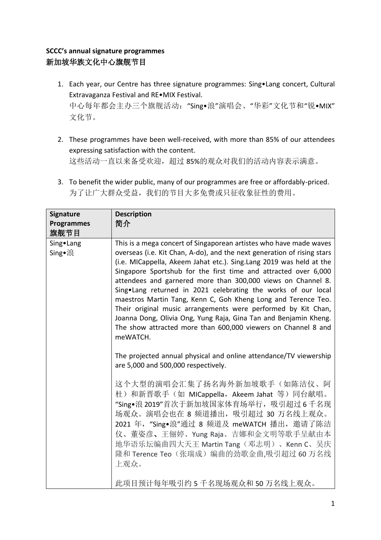## **SCCC's annual signature programmes** 新加坡华族文化中心旗舰节目

- 1. Each year, our Centre has three signature programmes: Sing•Lang concert, Cultural Extravaganza Festival and RE•MIX Festival. 中心每年都会主办三个旗舰活动: "Sing•浪"演唱会、"华彩"文化节和"锐•MIX" 文化节。
- 2. These programmes have been well-received, with more than 85% of our attendees expressing satisfaction with the content. 这些活动一直以来备受欢迎,超过 85%的观众对我们的活动内容表示满意。
- 3. To benefit the wider public, many of our programmes are free or affordably-priced. 为了让广大群众受益,我们的节目大多免费或只征收象征性的费用。

| <b>Signature</b>      | <b>Description</b>                                                                                                                                                                                                                                                                                                                                                                                                                                                                                                                                                                                                                                                                                          |
|-----------------------|-------------------------------------------------------------------------------------------------------------------------------------------------------------------------------------------------------------------------------------------------------------------------------------------------------------------------------------------------------------------------------------------------------------------------------------------------------------------------------------------------------------------------------------------------------------------------------------------------------------------------------------------------------------------------------------------------------------|
| <b>Programmes</b>     | 简介                                                                                                                                                                                                                                                                                                                                                                                                                                                                                                                                                                                                                                                                                                          |
| 旗舰节目                  |                                                                                                                                                                                                                                                                                                                                                                                                                                                                                                                                                                                                                                                                                                             |
| Sing • Lang<br>Sing•浪 | This is a mega concert of Singaporean artistes who have made waves<br>overseas (i.e. Kit Chan, A-do), and the next generation of rising stars<br>(i.e. MICappella, Akeem Jahat etc.). Sing.Lang 2019 was held at the<br>Singapore Sportshub for the first time and attracted over 6,000<br>attendees and garnered more than 300,000 views on Channel 8.<br>Sing.Lang returned in 2021 celebrating the works of our local<br>maestros Martin Tang, Kenn C, Goh Kheng Long and Terence Teo.<br>Their original music arrangements were performed by Kit Chan,<br>Joanna Dong, Olivia Ong, Yung Raja, Gina Tan and Benjamin Kheng.<br>The show attracted more than 600,000 viewers on Channel 8 and<br>meWATCH. |
|                       | The projected annual physical and online attendance/TV viewership<br>are 5,000 and 500,000 respectively.                                                                                                                                                                                                                                                                                                                                                                                                                                                                                                                                                                                                    |
|                       | 这个大型的演唱会汇集了扬名海外新加坡歌手(如陈洁仪、阿<br>杜) 和新晋歌手(如 MICappella, Akeem Jahat 等)同台献唱。<br>"Sing•浪 2019"首次于新加坡国家体育场举行, 吸引超过 6 千名现<br>场观众。演唱会也在 8 频道播出, 吸引超过 30 万名线上观众。<br>2021 年, "Sing•浪"通过 8 频道及 meWATCH 播出, 邀请了陈洁<br>仪、董姿彦、王俪婷、Yung Raja、吉娜和金文明等歌手呈献由本<br>地华语乐坛编曲四大天王 Martin Tang (邓志明)、 Kenn C、吴庆<br>隆和 Terence Teo (张瑞成)编曲的劲歌金曲,吸引超过 60 万名线<br>上观众。                                                                                                                                                                                                                                                                                                                                                                  |
|                       | 此项目预计每年吸引约5千名现场观众和50万名线上观众。                                                                                                                                                                                                                                                                                                                                                                                                                                                                                                                                                                                                                                                                                 |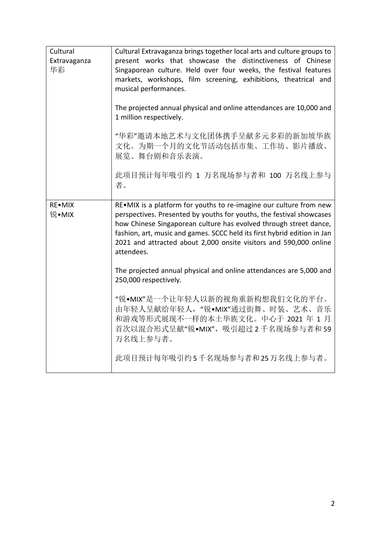| Cultural<br>Extravaganza<br>华彩 | Cultural Extravaganza brings together local arts and culture groups to<br>present works that showcase the distinctiveness of Chinese<br>Singaporean culture. Held over four weeks, the festival features<br>markets, workshops, film screening, exhibitions, theatrical and<br>musical performances.                                                                           |
|--------------------------------|--------------------------------------------------------------------------------------------------------------------------------------------------------------------------------------------------------------------------------------------------------------------------------------------------------------------------------------------------------------------------------|
|                                | The projected annual physical and online attendances are 10,000 and<br>1 million respectively.                                                                                                                                                                                                                                                                                 |
|                                | "华彩"邀请本地艺术与文化团体携手呈献多元多彩的新加坡华族<br>文化。为期一个月的文化节活动包括市集、工作坊、影片播放、<br>展览、舞台剧和音乐表演。                                                                                                                                                                                                                                                                                                  |
|                                | 此项目预计每年吸引约 1 万名现场参与者和 100 万名线上参与<br>者。                                                                                                                                                                                                                                                                                                                                         |
| <b>RE•MIX</b><br>锐•MIX         | RE.MIX is a platform for youths to re-imagine our culture from new<br>perspectives. Presented by youths for youths, the festival showcases<br>how Chinese Singaporean culture has evolved through street dance,<br>fashion, art, music and games. SCCC held its first hybrid edition in Jan<br>2021 and attracted about 2,000 onsite visitors and 590,000 online<br>attendees. |
|                                | The projected annual physical and online attendances are 5,000 and<br>250,000 respectively.                                                                                                                                                                                                                                                                                    |
|                                | "锐·MIX"是一个让年轻人以新的视角重新构想我们文化的平台。<br>由年轻人呈献给年轻人, "锐·MIX"通过街舞、时装、艺术、音乐<br>和游戏等形式展现不一样的本土华族文化。中心于 2021 年 1 月<br>首次以混合形式呈献"锐•MIX", 吸引超过2千名现场参与者和59<br>万名线上参与者。                                                                                                                                                                                                                      |
|                                | 此项目预计每年吸引约5千名现场参与者和25万名线上参与者。                                                                                                                                                                                                                                                                                                                                                  |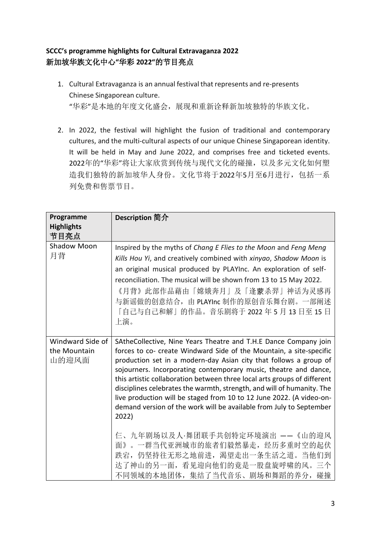## **SCCC's programme highlights for Cultural Extravaganza 2022** 新加坡华族文化中心**"**华彩 **2022"**的节目亮点

- 1. Cultural Extravaganza is an annual festival that represents and re-presents Chinese Singaporean culture. "华彩"是本地的年度文化盛会,展现和重新诠释新加坡独特的华族文化。
- 2. In 2022, the festival will highlight the fusion of traditional and contemporary cultures, and the multi-cultural aspects of our unique Chinese Singaporean identity. It will be held in May and June 2022, and comprises free and ticketed events. 2022年的"华彩"将让大家欣赏到传统与现代文化的碰撞,以及多元文化如何塑 造我们独特的新加坡华人身份。文化节将于2022年5月至6月进行,包括一系 列免费和售票节目。

| Description 简介                                                                                                                                                                                                                                                                                                                                                                                                                                                                                                                                                                                                                                                                                                                          |
|-----------------------------------------------------------------------------------------------------------------------------------------------------------------------------------------------------------------------------------------------------------------------------------------------------------------------------------------------------------------------------------------------------------------------------------------------------------------------------------------------------------------------------------------------------------------------------------------------------------------------------------------------------------------------------------------------------------------------------------------|
|                                                                                                                                                                                                                                                                                                                                                                                                                                                                                                                                                                                                                                                                                                                                         |
| Inspired by the myths of Chang E Flies to the Moon and Feng Meng<br>Kills Hou Yi, and creatively combined with xinyao, Shadow Moon is<br>an original musical produced by PLAYInc. An exploration of self-<br>reconciliation. The musical will be shown from 13 to 15 May 2022.<br>《月背》此部作品藉由「嫦娥奔月」及「逢蒙杀羿」神话为灵感再<br>与新谣做的创意结合, 由 PLAYInc 制作的原创音乐舞台剧。一部阐述<br>「自己与自己和解」的作品。音乐剧将于 2022年5月13日至15日<br>上演。                                                                                                                                                                                                                                                                                                                                     |
| SAtheCollective, Nine Years Theatre and T.H.E Dance Company join<br>forces to co- create Windward Side of the Mountain, a site-specific<br>production set in a modern-day Asian city that follows a group of<br>sojourners. Incorporating contemporary music, theatre and dance,<br>this artistic collaboration between three local arts groups of different<br>disciplines celebrates the warmth, strength, and will of humanity. The<br>live production will be staged from 10 to 12 June 2022. (A video-on-<br>demand version of the work will be available from July to September<br>2022)<br>仨、九年剧场以及人·舞团联手共创特定环境演出 ——《山的迎风<br>面》。一群当代亚洲城市的旅者们毅然暴走, 经历多重时空的起伏<br>跌宕, 仍坚持往无形之地前进, 渴望走出一条生活之道。当他们到<br>达了神山的另一面, 看见迎向他们的竟是一股盘旋呼啸的风。三个 |
|                                                                                                                                                                                                                                                                                                                                                                                                                                                                                                                                                                                                                                                                                                                                         |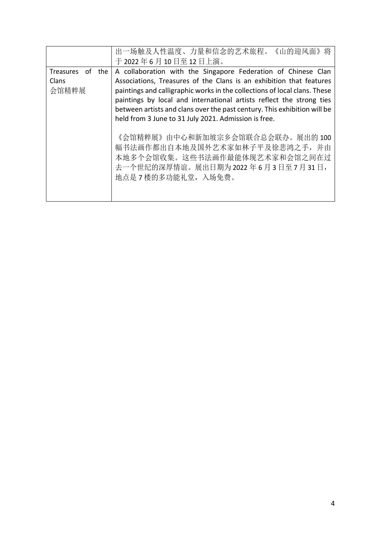|                                          | 出一场触及人性温度、力量和信念的艺术旅程。<br>《山的迎风面》                                                                                                                                                                                                                                                                                                                                                                                              |
|------------------------------------------|-------------------------------------------------------------------------------------------------------------------------------------------------------------------------------------------------------------------------------------------------------------------------------------------------------------------------------------------------------------------------------------------------------------------------------|
|                                          | 于 2022年6月10日至12日上演。                                                                                                                                                                                                                                                                                                                                                                                                           |
| Treasures<br>of<br>the<br>Clans<br>会馆精粹展 | A collaboration with the Singapore Federation of Chinese Clan<br>Associations, Treasures of the Clans is an exhibition that features<br>paintings and calligraphic works in the collections of local clans. These<br>paintings by local and international artists reflect the strong ties<br>between artists and clans over the past century. This exhibition will be<br>held from 3 June to 31 July 2021. Admission is free. |
|                                          | 《会馆精粹展》由中心和新加坡宗乡会馆联合总会联办。展出的 100<br>幅书法画作都出自本地及国外艺术家如林子平及徐悲鸿之手, 并由<br>本地多个会馆收集。这些书法画作最能体现艺术家和会馆之间在过<br>去一个世纪的深厚情谊。展出日期为2022年6月3日至7月31日,<br>地点是 7 楼的多功能礼堂,入场免费。                                                                                                                                                                                                                                                                |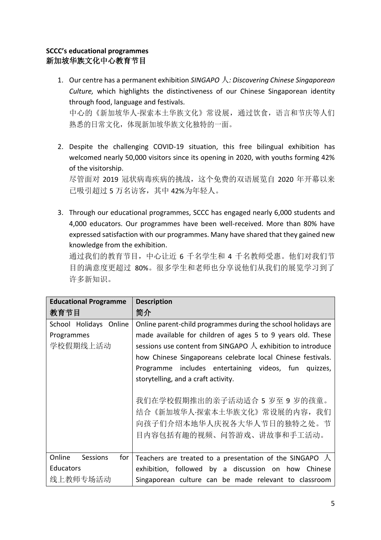### **SCCC's educational programmes** 新加坡华族文化中心教育节目

- 1. Our centre has a permanent exhibition *SINGAPO* 人*: Discovering Chinese Singaporean Culture,* which highlights the distinctiveness of our Chinese Singaporean identity through food, language and festivals. 中心的《新加坡华人·探索本土华族文化》常设展,通过饮食,语言和节庆等人们 熟悉的日常文化,体现新加坡华族文化独特的一面。
- 2. Despite the challenging COVID-19 situation, this free bilingual exhibition has welcomed nearly 50,000 visitors since its opening in 2020, with youths forming 42% of the visitorship.

尽管面对 2019 冠状病毒疾病的挑战,这个免费的双语展览自 2020 年开幕以来 已吸引超过 5 万名访客,其中 42%为年轻人。

3. Through our educational programmes, SCCC has engaged nearly 6,000 students and 4,000 educators. Our programmes have been well-received. More than 80% have expressed satisfaction with our programmes. Many have shared that they gained new knowledge from the exhibition.

通过我们的教育节目,中心让近 6 千名学生和 4 千名教师受惠。他们对我们节 目的满意度更超过 80%。很多学生和老师也分享说他们从我们的展览学习到了 许多新知识。

| <b>Educational Programme</b> | <b>Description</b>                                                  |
|------------------------------|---------------------------------------------------------------------|
| 教育节目                         | 简介                                                                  |
| School Holidays Online       | Online parent-child programmes during the school holidays are       |
| Programmes                   | made available for children of ages 5 to 9 years old. These         |
| 学校假期线上活动                     | sessions use content from SINGAPO $\Lambda$ exhibition to introduce |
|                              | how Chinese Singaporeans celebrate local Chinese festivals.         |
|                              | Programme includes entertaining videos, fun quizzes,                |
|                              | storytelling, and a craft activity.                                 |
|                              |                                                                     |
|                              | 我们在学校假期推出的亲子活动适合 5 岁至 9 岁的孩童。                                       |
|                              | 结合《新加坡华人·探索本土华族文化》常设展的内容,我们                                         |
|                              | 向孩子们介绍本地华人庆祝各大华人节日的独特之处。节                                           |
|                              | 目内容包括有趣的视频、问答游戏、讲故事和手工活动。                                           |
|                              |                                                                     |
| Online<br>Sessions<br>for    | Teachers are treated to a presentation of the SINGAPO $\land$       |
| Educators                    | exhibition, followed by a discussion on how Chinese                 |
| 线上教师专场活动                     | Singaporean culture can be made relevant to classroom               |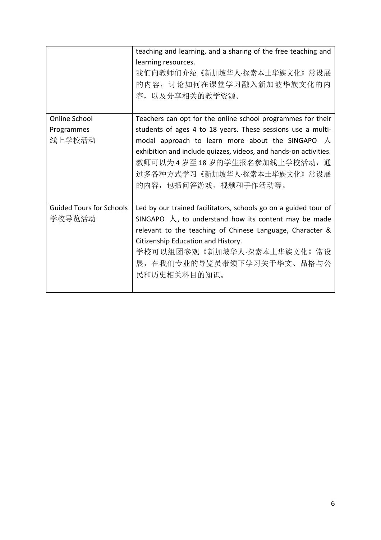|                                 | teaching and learning, and a sharing of the free teaching and    |
|---------------------------------|------------------------------------------------------------------|
|                                 | learning resources.                                              |
|                                 | 我们向教师们介绍 《新加坡华人·探索本土华族文化》 常设展                                    |
|                                 | 的内容, 讨论如何在课堂学习融入新加坡华族文化的内                                        |
|                                 | 容, 以及分享相关的教学资源。                                                  |
|                                 |                                                                  |
| Online School                   | Teachers can opt for the online school programmes for their      |
| Programmes                      | students of ages 4 to 18 years. These sessions use a multi-      |
| 线上学校活动                          | modal approach to learn more about the SINGAPO $\Lambda$         |
|                                 | exhibition and include quizzes, videos, and hands-on activities. |
|                                 | 教师可以为4岁至18岁的学生报名参加线上学校活动,通                                       |
|                                 | 过多各种方式学习 《新加坡华人·探索本土华族文化》 常设展                                    |
|                                 | 的内容, 包括问答游戏、视频和手作活动等。                                            |
|                                 |                                                                  |
| <b>Guided Tours for Schools</b> | Led by our trained facilitators, schools go on a guided tour of  |
| 学校导览活动                          | SINGAPO $\Lambda$ , to understand how its content may be made    |
|                                 | relevant to the teaching of Chinese Language, Character &        |
|                                 | Citizenship Education and History.                               |
|                                 | 学校可以组团参观《新加坡华人·探索本土华族文化》常设                                       |
|                                 | 展, 在我们专业的导览员带领下学习关于华文、品格与公                                       |
|                                 | 民和历史相关科目的知识。                                                     |
|                                 |                                                                  |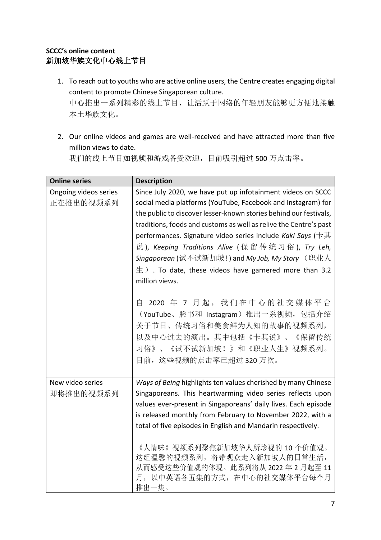#### **SCCC's online content** 新加坡华族文化中心线上节目

- 1. To reach out to youths who are active online users, the Centre creates engaging digital content to promote Chinese Singaporean culture. 中心推出一系列精彩的线上节目,让活跃于网络的年轻朋友能够更方便地接触 本土华族文化。
- 2. Our online videos and games are well-received and have attracted more than five million views to date.

我们的线上节目如视频和游戏备受欢迎,目前吸引超过 500 万点击率。

| <b>Online series</b>               | <b>Description</b>                                                                                                                                                                                                                                                                                                                                                                                                                                                                                                                                                                                                                                                            |
|------------------------------------|-------------------------------------------------------------------------------------------------------------------------------------------------------------------------------------------------------------------------------------------------------------------------------------------------------------------------------------------------------------------------------------------------------------------------------------------------------------------------------------------------------------------------------------------------------------------------------------------------------------------------------------------------------------------------------|
| Ongoing videos series<br>正在推出的视频系列 | Since July 2020, we have put up infotainment videos on SCCC<br>social media platforms (YouTube, Facebook and Instagram) for<br>the public to discover lesser-known stories behind our festivals,<br>traditions, foods and customs as well as relive the Centre's past<br>performances. Signature video series include Kaki Says (卡其<br>说 ), Keeping Traditions Alive (保留传统习俗), Try Leh,<br><i>Singaporean</i> (试不试新加坡! ) and <i>My Job, My Story</i> (职业人<br>$\pm$ ). To date, these videos have garnered more than 3.2<br>million views.<br>2020 年 7 月起, 我们在中心的社交媒体平台<br>自<br>(YouTube、脸书和 Instagram) 推出一系视频, 包括介绍<br>关于节日、传统习俗和美食鲜为人知的故事的视频系列,<br>以及中心过去的演出。其中包括《卡其说》、《保留传统 |
|                                    | 习俗》、《试不试新加坡!》和《职业人生》视频系列。<br>目前, 这些视频的点击率已超过320万次。                                                                                                                                                                                                                                                                                                                                                                                                                                                                                                                                                                                                                            |
| New video series<br>即将推出的视频系列      | Ways of Being highlights ten values cherished by many Chinese<br>Singaporeans. This heartwarming video series reflects upon<br>values ever-present in Singaporeans' daily lives. Each episode<br>is released monthly from February to November 2022, with a<br>total of five episodes in English and Mandarin respectively.<br>《人情味》视频系列聚焦新加坡华人所珍视的 10 个价值观。<br>这组温馨的视频系列, 将带观众走入新加坡人的日常生活,<br>从而感受这些价值观的体现。此系列将从 2022 年 2 月起至 11<br>月,以中英语各五集的方式,在中心的社交媒体平台每个月                                                                                                                                                                                                               |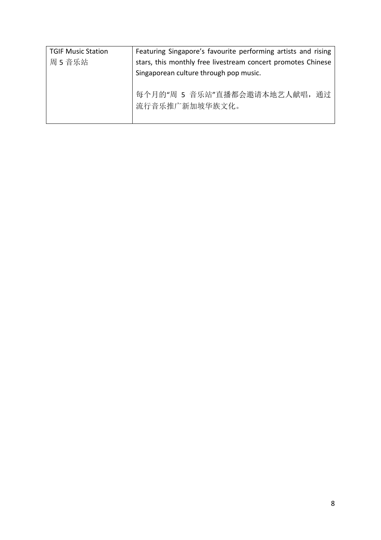| <b>TGIF Music Station</b> | Featuring Singapore's favourite performing artists and rising |
|---------------------------|---------------------------------------------------------------|
| 周 5 音乐站                   | stars, this monthly free livestream concert promotes Chinese  |
|                           | Singaporean culture through pop music.                        |
|                           | 每个月的"周 5 音乐站"直播都会邀请本地艺人献唱, 通过<br>流行音乐推广新加坡华族文化。               |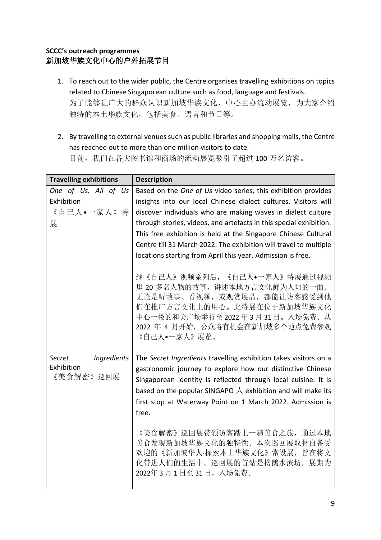### **SCCC's outreach programmes** 新加坡华族文化中心的户外拓展节目

- 1. To reach out to the wider public, the Centre organises travelling exhibitions on topics related to Chinese Singaporean culture such as food, language and festivals. 为了能够让广大的群众认识新加坡华族文化,中心主办流动展览,为大家介绍 独特的本土华族文化,包括美食、语言和节日等。
- 2. By travelling to external venues such as public libraries and shopping malls, the Centre has reached out to more than one million visitors to date. 目前,我们在各大图书馆和商场的流动展览吸引了超过 100 万名访客。

| <b>Travelling exhibitions</b> | <b>Description</b>                                                                                                                                                                                                |
|-------------------------------|-------------------------------------------------------------------------------------------------------------------------------------------------------------------------------------------------------------------|
| One of Us, All of Us          | Based on the One of Us video series, this exhibition provides                                                                                                                                                     |
| Exhibition                    | insights into our local Chinese dialect cultures. Visitors will                                                                                                                                                   |
| 《自己人•一家人》特                    | discover individuals who are making waves in dialect culture                                                                                                                                                      |
| 展                             | through stories, videos, and artefacts in this special exhibition.                                                                                                                                                |
|                               | This free exhibition is held at the Singapore Chinese Cultural                                                                                                                                                    |
|                               | Centre till 31 March 2022. The exhibition will travel to multiple                                                                                                                                                 |
|                               | locations starting from April this year. Admission is free.                                                                                                                                                       |
|                               | 继《自己人》视频系列后, 《自己人•一家人》特展通过视频<br>里 20 多名人物的故事, 讲述本地方言文化鲜为人知的一面。<br>无论是听故事、看视频, 或观赏展品, 都能让访客感受到他<br>们在推广方言文化上的用心。此特展在位于新加坡华族文化<br>中心一楼的和美广场举行至2022年3月31日。入场免费。从<br>2022 年 4 月开始, 公众将有机会在新加坡多个地点免费参观<br>《自己人•一家人》展览。 |
| Ingredients<br>Secret         | The Secret Ingredients travelling exhibition takes visitors on a                                                                                                                                                  |
| Exhibition                    | gastronomic journey to explore how our distinctive Chinese                                                                                                                                                        |
| 《美食解密》 巡回展                    | Singaporean identity is reflected through local cuisine. It is                                                                                                                                                    |
|                               | based on the popular SINGAPO $\lambda$ exhibition and will make its                                                                                                                                               |
|                               | first stop at Waterway Point on 1 March 2022. Admission is                                                                                                                                                        |
|                               | free.                                                                                                                                                                                                             |
|                               | 《美食解密》巡回展带领访客踏上一趟美食之旅,通过本地<br>美食发现新加坡华族文化的独特性。本次巡回展取材自备受<br>欢迎的《新加坡华人·探索本土华族文化》常设展, 旨在将文<br>化带进人们的生活中。巡回展的首站是榜鹅水滨坊,展期为<br>2022年3月1日至31日,入场免费。                                                                     |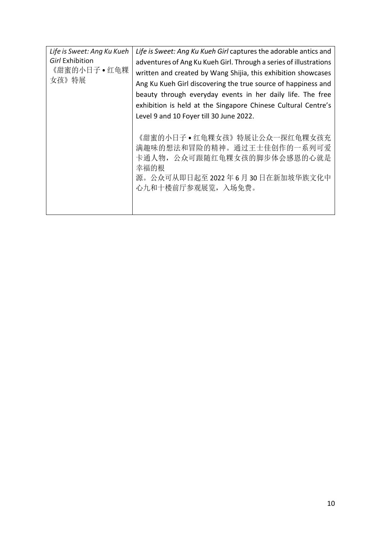| Life is Sweet: Ang Ku Kueh<br>Girl Exhibition<br>《甜蜜的小日子•红龟粿<br>女孩》特展 | Life is Sweet: Ang Ku Kueh Girl captures the adorable antics and<br>adventures of Ang Ku Kueh Girl. Through a series of illustrations<br>written and created by Wang Shijia, this exhibition showcases<br>Ang Ku Kueh Girl discovering the true source of happiness and<br>beauty through everyday events in her daily life. The free<br>exhibition is held at the Singapore Chinese Cultural Centre's<br>Level 9 and 10 Foyer till 30 June 2022. |
|-----------------------------------------------------------------------|---------------------------------------------------------------------------------------------------------------------------------------------------------------------------------------------------------------------------------------------------------------------------------------------------------------------------------------------------------------------------------------------------------------------------------------------------|
|                                                                       | 《甜蜜的小日子•红龟粿女孩》特展让公众一探红龟粿女孩充<br>满趣味的想法和冒险的精神。通过王士佳创作的一系列可爱<br>卡通人物,公众可跟随红龟粿女孩的脚步体会感恩的心就是<br>幸福的根<br>源。公众可从即日起至2022年6月30日在新加坡华族文化中<br>心九和十楼前厅参观展览, 入场免费。                                                                                                                                                                                                                                                                                            |